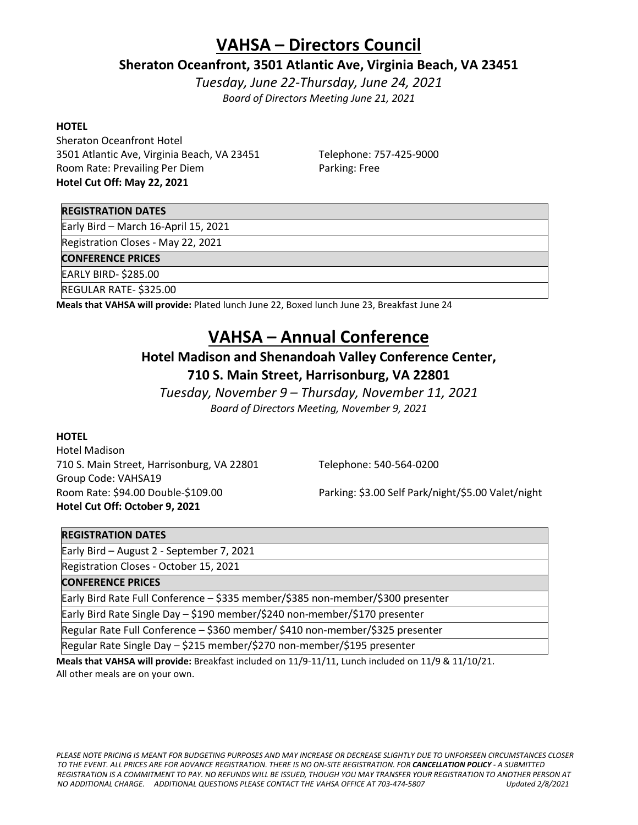## **VAHSA – Directors Council**

### **Sheraton Oceanfront, 3501 Atlantic Ave, Virginia Beach, VA 23451**

*Tuesday, June 22-Thursday, June 24, 2021 Board of Directors Meeting June 21, 2021*

#### **HOTEL**

Sheraton Oceanfront Hotel 3501 Atlantic Ave, Virginia Beach, VA 23451 Telephone: 757-425-9000 Room Rate: Prevailing Per Diem Parking: Free **Hotel Cut Off: May 22, 2021**

#### **REGISTRATION DATES**

Early Bird – March 16-April 15, 2021

Registration Closes - May 22, 2021

#### **CONFERENCE PRICES**

EARLY BIRD- \$285.00

REGULAR RATE- \$325.00

**Meals that VAHSA will provide:** Plated lunch June 22, Boxed lunch June 23, Breakfast June 24

## **VAHSA – Annual Conference**

### **Hotel Madison and Shenandoah Valley Conference Center,**

### **710 S. Main Street, Harrisonburg, VA 22801**

*Tuesday, November 9 – Thursday, November 11, 2021 Board of Directors Meeting, November 9, 2021*

#### **HOTEL**

Hotel Madison 710 S. Main Street, Harrisonburg, VA 22801 Telephone: 540-564-0200 Group Code: VAHSA19 **Hotel Cut Off: October 9, 2021**

Room Rate: \$94.00 Double-\$109.00 Parking: \$3.00 Self Park/night/\$5.00 Valet/night

#### **REGISTRATION DATES**

Early Bird – August 2 - September 7, 2021

Registration Closes - October 15, 2021

#### **CONFERENCE PRICES**

Early Bird Rate Full Conference – \$335 member/\$385 non-member/\$300 presenter

Early Bird Rate Single Day – \$190 member/\$240 non-member/\$170 presenter

Regular Rate Full Conference – \$360 member/ \$410 non-member/\$325 presenter

Regular Rate Single Day – \$215 member/\$270 non-member/\$195 presenter

**Meals that VAHSA will provide:** Breakfast included on 11/9-11/11, Lunch included on 11/9 & 11/10/21. All other meals are on your own.

*PLEASE NOTE PRICING IS MEANT FOR BUDGETING PURPOSES AND MAY INCREASE OR DECREASE SLIGHTLY DUE TO UNFORSEEN CIRCUMSTANCES CLOSER TO THE EVENT. ALL PRICES ARE FOR ADVANCE REGISTRATION. THERE IS NO ON-SITE REGISTRATION. FOR CANCELLATION POLICY - A SUBMITTED REGISTRATION IS A COMMITMENT TO PAY. NO REFUNDS WILL BE ISSUED, THOUGH YOU MAY TRANSFER YOUR REGISTRATION TO ANOTHER PERSON AT NO ADDITIONAL CHARGE. ADDITIONAL QUESTIONS PLEASE CONTACT THE VAHSA OFFICE AT 703-474-5807 Updated 2/8/2021*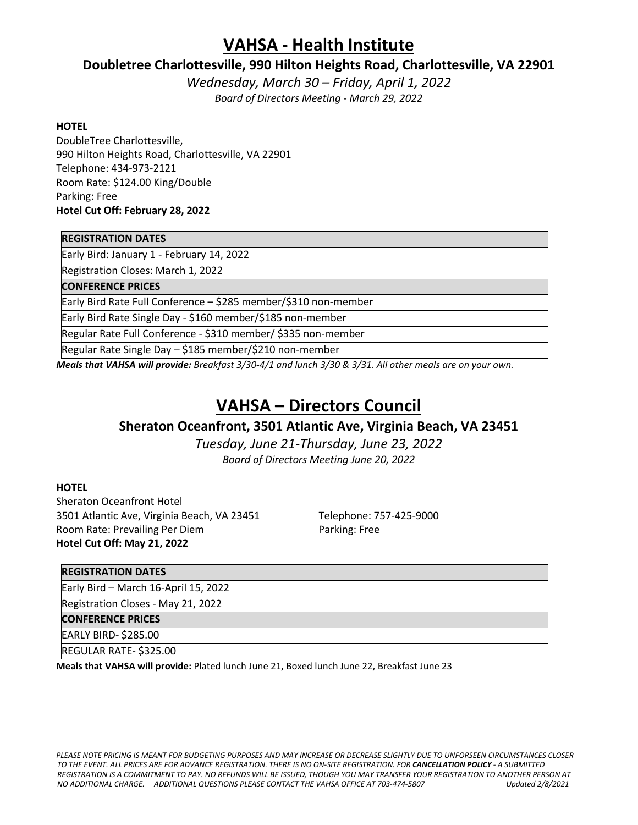## **VAHSA - Health Institute**

### **Doubletree Charlottesville, 990 Hilton Heights Road, Charlottesville, VA 22901**

*Wednesday, March 30 – Friday, April 1, 2022 Board of Directors Meeting - March 29, 2022*

#### **HOTEL**

DoubleTree Charlottesville, 990 Hilton Heights Road, Charlottesville, VA 22901 Telephone: 434-973-2121 Room Rate: \$124.00 King/Double Parking: Free **Hotel Cut Off: February 28, 2022**

#### **REGISTRATION DATES**

Early Bird: January 1 - February 14, 2022

Registration Closes: March 1, 2022

**CONFERENCE PRICES**

Early Bird Rate Full Conference – \$285 member/\$310 non-member

Early Bird Rate Single Day - \$160 member/\$185 non-member

Regular Rate Full Conference - \$310 member/ \$335 non-member

Regular Rate Single Day – \$185 member/\$210 non-member

*Meals that VAHSA will provide: Breakfast 3/30-4/1 and lunch 3/30 & 3/31. All other meals are on your own.*

## **VAHSA – Directors Council**

### **Sheraton Oceanfront, 3501 Atlantic Ave, Virginia Beach, VA 23451**

*Tuesday, June 21-Thursday, June 23, 2022 Board of Directors Meeting June 20, 2022*

#### **HOTEL**

Sheraton Oceanfront Hotel 3501 Atlantic Ave, Virginia Beach, VA 23451 Telephone: 757-425-9000 Room Rate: Prevailing Per Diem Parking: Free **Hotel Cut Off: May 21, 2022**

#### **REGISTRATION DATES**

Early Bird – March 16-April 15, 2022

Registration Closes - May 21, 2022

**CONFERENCE PRICES**

EARLY BIRD- \$285.00

REGULAR RATE- \$325.00

**Meals that VAHSA will provide:** Plated lunch June 21, Boxed lunch June 22, Breakfast June 23

*PLEASE NOTE PRICING IS MEANT FOR BUDGETING PURPOSES AND MAY INCREASE OR DECREASE SLIGHTLY DUE TO UNFORSEEN CIRCUMSTANCES CLOSER TO THE EVENT. ALL PRICES ARE FOR ADVANCE REGISTRATION. THERE IS NO ON-SITE REGISTRATION. FOR CANCELLATION POLICY - A SUBMITTED REGISTRATION IS A COMMITMENT TO PAY. NO REFUNDS WILL BE ISSUED, THOUGH YOU MAY TRANSFER YOUR REGISTRATION TO ANOTHER PERSON AT NO ADDITIONAL CHARGE. ADDITIONAL QUESTIONS PLEASE CONTACT THE VAHSA OFFICE AT 703-474-5807 Updated 2/8/2021*